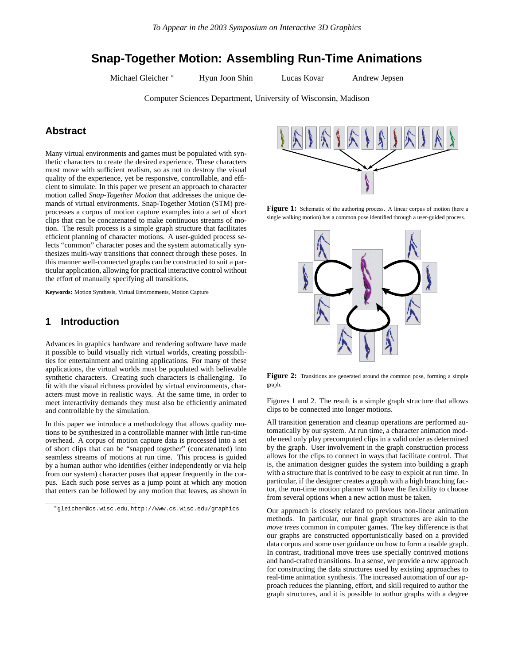# **Snap-Together Motion: Assembling Run-Time Animations**

Michael Gleicher <sup>∗</sup> Hyun Joon Shin Lucas Kovar Andrew Jepsen

Computer Sciences Department, University of Wisconsin, Madison

## **Abstract**

Many virtual environments and games must be populated with synthetic characters to create the desired experience. These characters must move with sufficient realism, so as not to destroy the visual quality of the experience, yet be responsive, controllable, and efficient to simulate. In this paper we present an approach to character motion called *Snap-Together Motion* that addresses the unique demands of virtual environments. Snap-Together Motion (STM) preprocesses a corpus of motion capture examples into a set of short clips that can be concatenated to make continuous streams of motion. The result process is a simple graph structure that facilitates efficient planning of character motions. A user-guided process selects "common" character poses and the system automatically synthesizes multi-way transitions that connect through these poses. In this manner well-connected graphs can be constructed to suit a particular application, allowing for practical interactive control without the effort of manually specifying all transitions.

**Keywords:** Motion Synthesis, Virtual Environments, Motion Capture

## **1 Introduction**

Advances in graphics hardware and rendering software have made it possible to build visually rich virtual worlds, creating possibilities for entertainment and training applications. For many of these applications, the virtual worlds must be populated with believable synthetic characters. Creating such characters is challenging. To fit with the visual richness provided by virtual environments, characters must move in realistic ways. At the same time, in order to meet interactivity demands they must also be efficiently animated and controllable by the simulation.

In this paper we introduce a methodology that allows quality motions to be synthesized in a controllable manner with little run-time overhead. A corpus of motion capture data is processed into a set of short clips that can be "snapped together" (concatenated) into seamless streams of motions at run time. This process is guided by a human author who identifies (either independently or via help from our system) character poses that appear frequently in the corpus. Each such pose serves as a jump point at which any motion that enters can be followed by any motion that leaves, as shown in



Figure 1: Schematic of the authoring process. A linear corpus of motion (here a single walking motion) has a common pose identified through a user-guided process.



Figure 2: Transitions are generated around the common pose, forming a simple graph.

Figures 1 and 2. The result is a simple graph structure that allows clips to be connected into longer motions.

All transition generation and cleanup operations are performed automatically by our system. At run time, a character animation module need only play precomputed clips in a valid order as determined by the graph. User involvement in the graph construction process allows for the clips to connect in ways that facilitate control. That is, the animation designer guides the system into building a graph with a structure that is contrived to be easy to exploit at run time. In particular, if the designer creates a graph with a high branching factor, the run-time motion planner will have the flexibility to choose from several options when a new action must be taken.

Our approach is closely related to previous non-linear animation methods. In particular, our final graph structures are akin to the *move trees* common in computer games. The key difference is that our graphs are constructed opportunistically based on a provided data corpus and some user guidance on how to form a usable graph. In contrast, traditional move trees use specially contrived motions and hand-crafted transitions. In a sense, we provide a new approach for constructing the data structures used by existing approaches to real-time animation synthesis. The increased automation of our approach reduces the planning, effort, and skill required to author the graph structures, and it is possible to author graphs with a degree

<sup>∗</sup>gleicher@cs.wisc.edu, http://www.cs.wisc.edu/graphics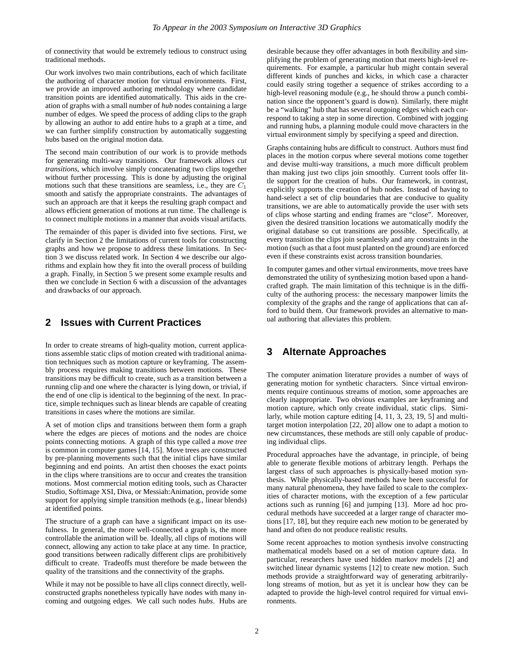of connectivity that would be extremely tedious to construct using traditional methods.

Our work involves two main contributions, each of which facilitate the authoring of character motion for virtual environments. First, we provide an improved authoring methodology where candidate transition points are identified automatically. This aids in the creation of graphs with a small number of *hub* nodes containing a large number of edges. We speed the process of adding clips to the graph by allowing an author to add entire hubs to a graph at a time, and we can further simplify construction by automatically suggesting hubs based on the original motion data.

The second main contribution of our work is to provide methods for generating multi-way transitions. Our framework allows *cut transitions*, which involve simply concatenating two clips together without further processing. This is done by adjusting the original motions such that these transitions are seamless, i.e., they are  $C_1$ smooth and satisfy the appropriate constraints. The advantages of such an approach are that it keeps the resulting graph compact and allows efficient generation of motions at run time. The challenge is to connect multiple motions in a manner that avoids visual artifacts.

The remainder of this paper is divided into five sections. First, we clarify in Section 2 the limitations of current tools for constructing graphs and how we propose to address these limitations. In Section 3 we discuss related work. In Section 4 we describe our algorithms and explain how they fit into the overall process of building a graph. Finally, in Section 5 we present some example results and then we conclude in Section 6 with a discussion of the advantages and drawbacks of our approach.

# **2 Issues with Current Practices**

In order to create streams of high-quality motion, current applications assemble static clips of motion created with traditional animation techniques such as motion capture or keyframing. The assembly process requires making transitions between motions. These transitions may be difficult to create, such as a transition between a running clip and one where the character is lying down, or trivial, if the end of one clip is identical to the beginning of the next. In practice, simple techniques such as linear blends are capable of creating transitions in cases where the motions are similar.

A set of motion clips and transitions between them form a graph where the edges are pieces of motions and the nodes are choice points connecting motions. A graph of this type called a *move tree* is common in computer games [14, 15]. Move trees are constructed by pre-planning movements such that the initial clips have similar beginning and end points. An artist then chooses the exact points in the clips where transitions are to occur and creates the transition motions. Most commercial motion editing tools, such as Character Studio, Softimage XSI, Diva, or Messiah:Animation, provide some support for applying simple transition methods (e.g., linear blends) at identified points.

The structure of a graph can have a significant impact on its usefulness. In general, the more well-connected a graph is, the more controllable the animation will be. Ideally, all clips of motions will connect, allowing any action to take place at any time. In practice, good transitions between radically different clips are prohibitively difficult to create. Tradeoffs must therefore be made between the quality of the transitions and the connectivity of the graphs.

While it may not be possible to have all clips connect directly, wellconstructed graphs nonetheless typically have nodes with many incoming and outgoing edges. We call such nodes *hubs*. Hubs are desirable because they offer advantages in both flexibility and simplifying the problem of generating motion that meets high-level requirements. For example, a particular hub might contain several different kinds of punches and kicks, in which case a character could easily string together a sequence of strikes according to a high-level reasoning module (e.g., he should throw a punch combination since the opponent's guard is down). Similarly, there might be a "walking" hub that has several outgoing edges which each correspond to taking a step in some direction. Combined with jogging and running hubs, a planning module could move characters in the virtual environment simply by specifying a speed and direction.

Graphs containing hubs are difficult to construct. Authors must find places in the motion corpus where several motions come together and devise multi-way transitions, a much more difficult problem than making just two clips join smoothly. Current tools offer little support for the creation of hubs. Our framework, in contrast, explicitly supports the creation of hub nodes. Instead of having to hand-select a set of clip boundaries that are conducive to quality transitions, we are able to automatically provide the user with sets of clips whose starting and ending frames are "close". Moreover, given the desired transition locations we automatically modify the original database so cut transitions are possible. Specifically, at every transition the clips join seamlessly and any constraints in the motion (such as that a foot must planted on the ground) are enforced even if these constraints exist across transition boundaries.

In computer games and other virtual environments, move trees have demonstrated the utility of synthesizing motion based upon a handcrafted graph. The main limitation of this technique is in the difficulty of the authoring process: the necessary manpower limits the complexity of the graphs and the range of applications that can afford to build them. Our framework provides an alternative to manual authoring that alleviates this problem.

# **3 Alternate Approaches**

The computer animation literature provides a number of ways of generating motion for synthetic characters. Since virtual environments require continuous streams of motion, some approaches are clearly inappropriate. Two obvious examples are keyframing and motion capture, which only create individual, static clips. Similarly, while motion capture editing [4, 11, 3, 23, 19, 5] and multitarget motion interpolation [22, 20] allow one to adapt a motion to new circumstances, these methods are still only capable of producing individual clips.

Procedural approaches have the advantage, in principle, of being able to generate flexible motions of arbitrary length. Perhaps the largest class of such approaches is physically-based motion synthesis. While physically-based methods have been successful for many natural phenomena, they have failed to scale to the complexities of character motions, with the exception of a few particular actions such as running [6] and jumping [13]. More ad hoc procedural methods have succeeded at a larger range of character motions [17, 18], but they require each new motion to be generated by hand and often do not produce realistic results.

Some recent approaches to motion synthesis involve constructing mathematical models based on a set of motion capture data. In particular, researchers have used hidden markov models [2] and switched linear dynamic systems [12] to create new motion. Such methods provide a straightforward way of generating arbitrarilylong streams of motion, but as yet it is unclear how they can be adapted to provide the high-level control required for virtual environments.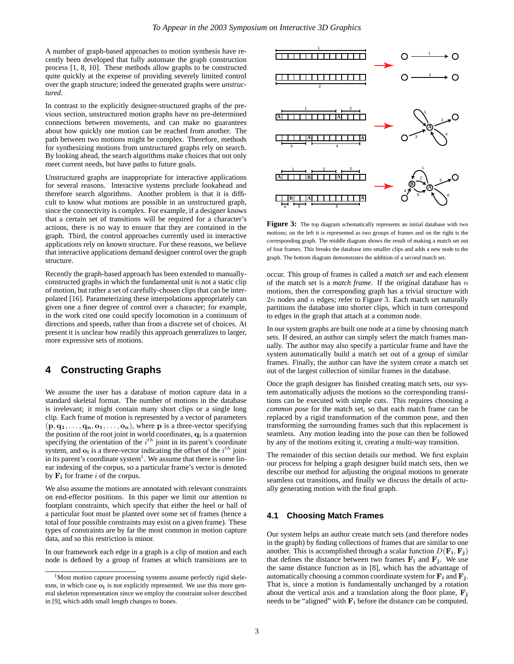A number of graph-based approaches to motion synthesis have recently been developed that fully automate the graph construction process [1, 8, 10]. These methods allow graphs to be constructed quite quickly at the expense of providing severely limited control over the graph structure; indeed the generated graphs were *unstructured*.

In contrast to the explicitly designer-structured graphs of the previous section, unstructured motion graphs have no pre-determined connections between movements, and can make no guarantees about how quickly one motion can be reached from another. The path between two motions might be complex. Therefore, methods for synthesizing motions from unstructured graphs rely on search. By looking ahead, the search algorithms make choices that not only meet current needs, but have paths to future goals.

Unstructured graphs are inappropriate for interactive applications for several reasons. Interactive systems preclude lookahead and therefore search algorithms. Another problem is that it is difficult to know what motions are possible in an unstructured graph, since the connectivity is complex. For example, if a designer knows that a certain set of transitions will be required for a character's actions, there is no way to ensure that they are contained in the graph. Third, the control approaches currently used in interactive applications rely on known structure. For these reasons, we believe that interactive applications demand designer control over the graph structure.

Recently the graph-based approach has been extended to manuallyconstructed graphs in which the fundamental unit is not a static clip of motion, but rather a set of carefully-chosen clips that can be interpolated [16]. Parameterizing these interpolations appropriately can given one a finer degree of control over a character; for example, in the work cited one could specify locomotion in a continuum of directions and speeds, rather than from a discrete set of choices. At present it is unclear how readily this approach generalizes to larger, more expressive sets of motions.

## **4 Constructing Graphs**

We assume the user has a database of motion capture data in a standard skeletal format. The number of motions in the database is irrelevant; it might contain many short clips or a single long clip. Each frame of motion is represented by a vector of parameters  $(p, q_1, \ldots, q_n, o_1, \ldots, o_n)$ , where p is a three-vector specifying the position of the root joint in world coordinates,  $q_i$  is a quaternion specifying the orientation of the  $i^{th}$  joint in its parent's coordinate system, and  $\mathbf{o}_i$  is a three-vector indicating the offset of the  $i^{th}$  joint in its parent's coordinate system<sup>1</sup>. We assume that there is some linear indexing of the corpus, so a particular frame's vector is denoted by  $\mathbf{F}_i$  for frame i of the corpus.

We also assume the motions are annotated with relevant constraints on end-effector positions. In this paper we limit our attention to footplant constraints, which specify that either the heel or ball of a particular foot must be planted over some set of frames (hence a total of four possible constraints may exist on a given frame). These types of constraints are by far the most common in motion capture data, and so this restriction is minor.

In our framework each edge in a graph is a clip of motion and each node is defined by a group of frames at which transitions are to



Figure 3: The top diagram schematically represents an initial database with two motions; on the left it is represented as two groups of frames and on the right is the corresponding graph. The middle diagram shows the result of making a match set out of four frames. This breaks the database into smaller clips and adds a new node to the graph. The bottom diagram demonstrates the addition of a second match set.

occur. This group of frames is called a *match set* and each element of the match set is a *match frame*. If the original database has n motions, then the corresponding graph has a trivial structure with  $2n$  nodes and  $n$  edges; refer to Figure 3. Each match set naturally partitions the database into shorter clips, which in turn correspond to edges in the graph that attach at a common node.

In our system graphs are built one node at a time by choosing match sets. If desired, an author can simply select the match frames manually. The author may also specify a particular frame and have the system automatically build a match set out of a group of similar frames. Finally, the author can have the system create a match set out of the largest collection of similar frames in the database.

Once the graph designer has finished creating match sets, our system automatically adjusts the motions so the corresponding transitions can be executed with simple cuts. This requires choosing a *common pose* for the match set, so that each match frame can be replaced by a rigid transformation of the common pose, and then transforming the surrounding frames such that this replacement is seamless. Any motion leading into the pose can then be followed by any of the motions exiting it, creating a multi-way transition.

The remainder of this section details our method. We first explain our process for helping a graph designer build match sets, then we describe our method for adjusting the original motions to generate seamless cut transitions, and finally we discuss the details of actually generating motion with the final graph.

### **4.1 Choosing Match Frames**

Our system helps an author create match sets (and therefore nodes in the graph) by finding collections of frames that are similar to one another. This is accomplished through a scalar function  $D(\mathbf{F_i}, \mathbf{F_j})$ that defines the distance between two frames  $\mathbf{F}_i$  and  $\mathbf{F}_i$ . We use the same distance function as in [8], which has the advantage of automatically choosing a common coordinate system for  $\mathbf{F}_i$  and  $\mathbf{F}_j$ . That is, since a motion is fundamentally unchanged by a rotation about the vertical axis and a translation along the floor plane,  $\mathbf{F}_i$ needs to be "aligned" with  $\mathbf{F}_i$  before the distance can be computed.

<sup>&</sup>lt;sup>1</sup>Most motion capture processing systems assume perfectly rigid skeletons, in which case  $o_i$  is not explicitly represented. We use this more general skeleton representation since we employ the constraint solver described in [9], which adds small length changes to bones.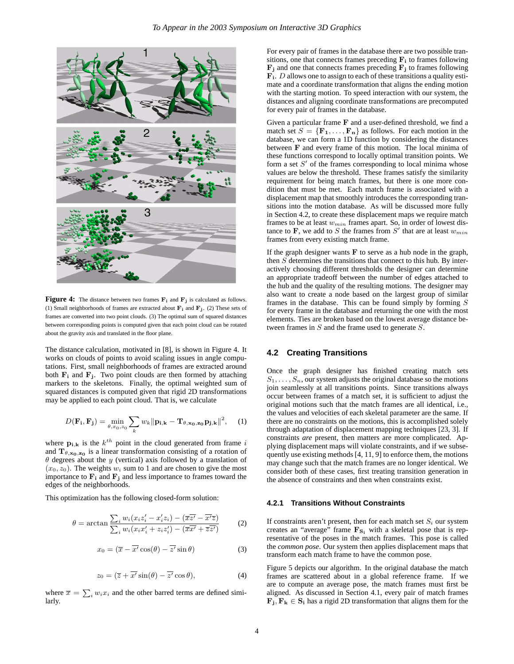

**Figure 4:** The distance between two frames  $\mathbf{F}_i$  and  $\mathbf{F}_j$  is calculated as follows. (1) Small neighborhoods of frames are extracted about  $\mathbf{F}_i$  and  $\mathbf{F}_j$ . (2) These sets of frames are converted into two point clouds. (3) The optimal sum of squared distances between corresponding points is computed given that each point cloud can be rotated about the gravity axis and translated in the floor plane.

The distance calculation, motivated in [8], is shown in Figure 4. It works on clouds of points to avoid scaling issues in angle computations. First, small neighborhoods of frames are extracted around both  $\mathbf{F}_i$  and  $\mathbf{F}_j$ . Two point clouds are then formed by attaching markers to the skeletons. Finally, the optimal weighted sum of squared distances is computed given that rigid 2D transformations may be applied to each point cloud. That is, we calculate

$$
D(\mathbf{F_i}, \mathbf{F_j}) = \min_{\theta, x_0, z_0} \sum_{k} w_k \|\mathbf{p_{i,k}} - \mathbf{T}_{\theta, \mathbf{x_0}, \mathbf{z_0}} \mathbf{p_{j,k}}\|^2, \quad (1)
$$

where  $\mathbf{p}_{i,k}$  is the  $k^{th}$  point in the cloud generated from frame i and  $T_{\theta, x_0, z_0}$  is a linear transformation consisting of a rotation of  $\theta$  degrees about the y (vertical) axis followed by a translation of  $(x_0, z_0)$ . The weights  $w_i$  sum to 1 and are chosen to give the most importance to  $\mathbf{F}_i$  and  $\mathbf{F}_j$  and less importance to frames toward the edges of the neighborhoods.

This optimization has the following closed-form solution:

$$
\theta = \arctan \frac{\sum_{i} w_i (x_i z_i' - x_i' z_i) - (\overline{x} \overline{z'} - \overline{x'} \overline{z})}{\sum_{i} w_i (x_i x_i' + z_i z_i') - (\overline{x} \overline{x'} + \overline{z} \overline{z'})}
$$
(2)

$$
x_0 = (\overline{x} - \overline{x'} \cos(\theta) - \overline{z'} \sin \theta)
$$
 (3)

$$
z_0 = (\overline{z} + \overline{x'}\sin(\theta) - \overline{z'}\cos\theta), \tag{4}
$$

where  $\bar{x} = \sum_i w_i x_i$  and the other barred terms are defined similarly.

For every pair of frames in the database there are two possible transitions, one that connects frames preceding  $\mathbf{F}_i$  to frames following  $\mathbf{F}_i$  and one that connects frames preceding  $\mathbf{F}_i$  to frames following  $\mathbf{F}_i$ . *D* allows one to assign to each of these transitions a quality estimate and a coordinate transformation that aligns the ending motion with the starting motion. To speed interaction with our system, the distances and aligning coordinate transformations are precomputed for every pair of frames in the database.

Given a particular frame  $\bf{F}$  and a user-defined threshold, we find a match set  $S = {\mathbf{F}_1, \dots, \mathbf{F}_n}$  as follows. For each motion in the database, we can form a 1D function by considering the distances between F and every frame of this motion. The local minima of these functions correspond to locally optimal transition points. We form a set  $S'$  of the frames corresponding to local minima whose values are below the threshold. These frames satisfy the similarity requirement for being match frames, but there is one more condition that must be met. Each match frame is associated with a displacement map that smoothly introduces the corresponding transitions into the motion database. As will be discussed more fully in Section 4.2, to create these displacement maps we require match frames to be at least  $w_{min}$  frames apart. So, in order of lowest distance to F, we add to S the frames from S' that are at least  $w_{min}$ frames from every existing match frame.

If the graph designer wants  $\bf{F}$  to serve as a hub node in the graph, then  $S$  determines the transitions that connect to this hub. By interactively choosing different thresholds the designer can determine an appropriate tradeoff between the number of edges attached to the hub and the quality of the resulting motions. The designer may also want to create a node based on the largest group of similar frames in the database. This can be found simply by forming  $S$ for every frame in the database and returning the one with the most elements. Ties are broken based on the lowest average distance between frames in S and the frame used to generate S.

### **4.2 Creating Transitions**

Once the graph designer has finished creating match sets  $S_1, \ldots, S_n$ , our system adjusts the original database so the motions join seamlessly at all transitions points. Since transitions always occur between frames of a match set, it is sufficient to adjust the original motions such that the match frames are all identical, i.e., the values and velocities of each skeletal parameter are the same. If there are no constraints on the motions, this is accomplished solely through adaptation of displacement mapping techniques [23, 3]. If constraints *are* present, then matters are more complicated. Applying displacement maps will violate constraints, and if we subsequently use existing methods [4, 11, 9] to enforce them, the motions may change such that the match frames are no longer identical. We consider both of these cases, first treating transition generation in the absence of constraints and then when constraints exist.

#### **4.2.1 Transitions Without Constraints**

If constraints aren't present, then for each match set  $S_i$  our system creates an "average" frame  $\mathbf{F}_{S_i}$  with a skeletal pose that is representative of the poses in the match frames. This pose is called the *common pose*. Our system then applies displacement maps that transform each match frame to have the common pose.

Figure 5 depicts our algorithm. In the original database the match frames are scattered about in a global reference frame. If we are to compute an average pose, the match frames must first be aligned. As discussed in Section 4.1, every pair of match frames  $\mathbf{F}_i, \mathbf{F}_k \in \mathbf{S}_i$  has a rigid 2D transformation that aligns them for the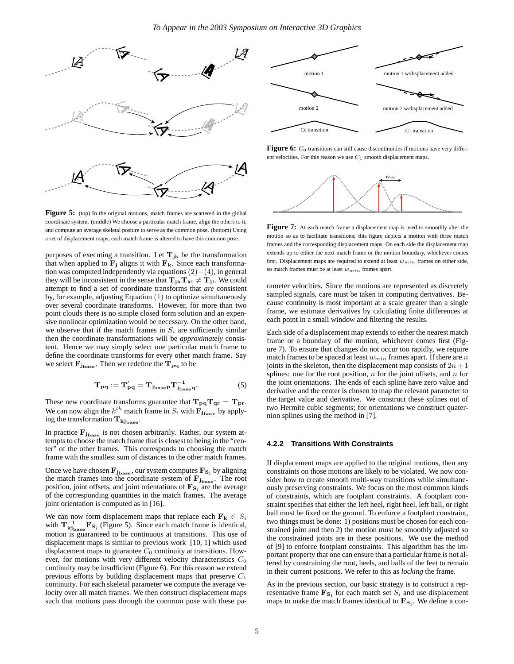

**Figure 5:** (top) In the original motions, match frames are scattered in the global coordinate system. (middle) We choose a particular match frame, align the others to it, and compute an average skeletal posture to serve as the common pose. (bottom) Using a set of displacement maps, each match frame is altered to have this common pose.

purposes of executing a transition. Let  $T_{jk}$  be the transformation that when applied to  $\mathbf{F}_i$  aligns it with  $\mathbf{F}_k$ . Since each transformation was computed independently via equations  $(2)-(4)$ , in general they will be inconsistent in the sense that  $T_{jk}T_{kl} \neq T_{jl}$ . We could attempt to find a set of coordinate transforms that *are* consistent by, for example, adjusting Equation (1) to optimize simultaneously over several coordinate transforms. However, for more than two point clouds there is no simple closed form solution and an expensive nonlinear optimization would be necessary. On the other hand, we observe that if the match frames in  $S_i$  are sufficiently similar then the coordinate transformations will be *approximately* consistent. Hence we may simply select one particular match frame to define the coordinate transforms for every other match frame. Say we select  $\mathbf{F_{j_{base}}}$ . Then we redefine the  $\mathbf{T_{pq}}$  to be

$$
\mathbf{T}_{\mathbf{p}\mathbf{q}} := \mathbf{T}'_{\mathbf{p}\mathbf{q}} = \mathbf{T}_{\mathbf{j}_{\mathbf{base}}\mathbf{p}} \mathbf{T}_{\mathbf{j}_{\mathbf{base}}\mathbf{q}}^{-1}.
$$
 (5)

These new coordinate transforms guarantee that  $T_{pq}T_{qr} = T_{pr}$ . We can now align the  $k^{th}$  match frame in  $S_i$  with  $\mathbf{F_{j_{base}}}$  by applying the transformation  $T_{\text{kjbase}}$ .

In practice  $\mathbf{F}_{\mathbf{j}_{\text{base}}}$  is not chosen arbitrarily. Rather, our system attempts to choose the match frame that is closest to being in the "center" of the other frames. This corresponds to choosing the match frame with the smallest sum of distances to the other match frames.

Once we have chosen  $\mathbf{F_{j_{base}}}$ , our system computes  $\mathbf{F_{S_i}}$  by aligning the match frames into the coordinate system of  $F_{j_{base}}$ . The root position, joint offsets, and joint orientations of  $\mathbf{F}_{S_i}$  are the average of the corresponding quantities in the match frames. The average joint orientation is computed as in [16].

We can now form displacement maps that replace each  $\mathbf{F_k} \in S_i$ with  $T_{\text{kjbase}}^{-1}$   $F_{\text{S}_i}$  (Figure 5). Since each match frame is identical, motion is guaranteed to be continuous at transitions. This use of displacement maps is similar to previous work [10, 1] which used displacement maps to guarantee  $C_0$  continuity at transitions. However, for motions with very different velocity characteristics  $C_0$ continuity may be insufficient (Figure 6). For this reason we extend previous efforts by building displacement maps that preserve  $C_1$ continuity. For each skeletal parameter we compute the average velocity over all match frames. We then construct displacement maps



Figure 6:  $C_0$  transitions can still cause discontinuities if motions have very different velocities. For this reason we use  $C_1$  smooth displacement maps.



**Figure 7:** At each match frame a displacement map is used to smoothly alter the motion so as to facilitate transitions; this figure depicts a motion with three match frames and the corresponding displacement maps. On each side the displacement map extends up to either the next match frame or the motion boundary, whichever comes first. Displacement maps are required to extend at least  $w_{min}$  frames on either side, so match frames must be at least  $w_{min}$  frames apart.

rameter velocities. Since the motions are represented as discretely sampled signals, care must be taken in computing derivatives. Because continuity is most important at a scale greater than a single frame, we estimate derivatives by calculating finite differences at each point in a small window and filtering the results.

Each side of a displacement map extends to either the nearest match frame or a boundary of the motion, whichever comes first (Figure 7). To ensure that changes do not occur too rapidly, we require match frames to be spaced at least  $w_{min}$  frames apart. If there are  $n$ joints in the skeleton, then the displacement map consists of  $2n + 1$ splines: one for the root position,  $n$  for the joint offsets, and  $n$  for the joint orientations. The ends of each spline have zero value and derivative and the center is chosen to map the relevant parameter to the target value and derivative. We construct these splines out of two Hermite cubic segments; for orientations we construct quaternion splines using the method in [7].

#### **4.2.2 Transitions With Constraints**

If displacement maps are applied to the original motions, then any constraints on those motions are likely to be violated. We now consider how to create smooth multi-way transitions while simultaneously preserving constraints. We focus on the most common kinds of constraints, which are footplant constraints. A footplant constraint specifies that either the left heel, right heel, left ball, or right ball must be fixed on the ground. To enforce a footplant constraint, two things must be done: 1) positions must be chosen for each constrained joint and then 2) the motion must be smoothly adjusted so the constrained joints are in these positions. We use the method of [9] to enforce footplant constraints. This algorithm has the important property that one can ensure that a particular frame is not altered by constraining the root, heels, and balls of the feet to remain in their current positions. We refer to this as *locking* the frame.

As in the previous section, our basic strategy is to construct a representative frame  $\mathbf{F}_{\mathbf{S_i}}$  for each match set  $S_i$  and use displacement maps to make the match frames identical to  $\mathbf{F}_{S_i}$ . We define a con-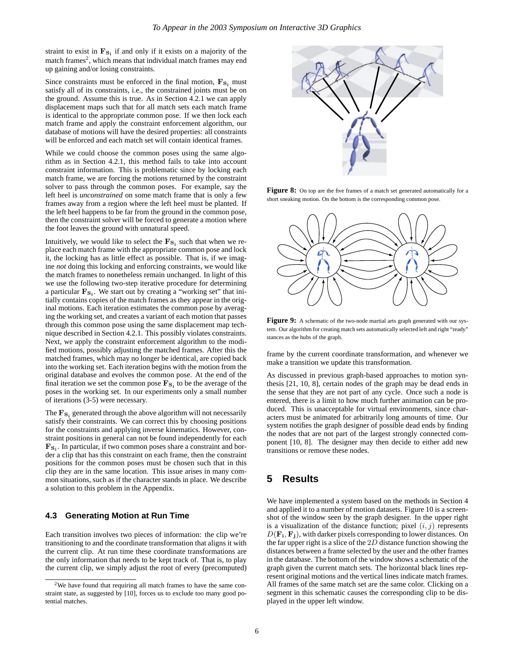straint to exist in  $\mathbf{F}_{S_i}$  if and only if it exists on a majority of the match frames<sup>2</sup>, which means that individual match frames may end up gaining and/or losing constraints.

Since constraints must be enforced in the final motion,  $\mathbf{F}_\mathbf{S}$  must satisfy all of its constraints, i.e., the constrained joints must be on the ground. Assume this is true. As in Section 4.2.1 we can apply displacement maps such that for all match sets each match frame is identical to the appropriate common pose. If we then lock each match frame and apply the constraint enforcement algorithm, our database of motions will have the desired properties: all constraints will be enforced and each match set will contain identical frames.

While we could choose the common poses using the same algorithm as in Section 4.2.1, this method fails to take into account constraint information. This is problematic since by locking each match frame, we are forcing the motions returned by the constraint solver to pass through the common poses. For example, say the left heel is *unconstrained* on some match frame that is only a few frames away from a region where the left heel must be planted. If the left heel happens to be far from the ground in the common pose, then the constraint solver will be forced to generate a motion where the foot leaves the ground with unnatural speed.

Intuitively, we would like to select the  $\mathbf{F}_{S_i}$  such that when we replace each match frame with the appropriate common pose and lock it, the locking has as little effect as possible. That is, if we imagine *not* doing this locking and enforcing constraints, we would like the match frames to nonetheless remain unchanged. In light of this we use the following two-step iterative procedure for determining a particular  $\mathbf{F}_{S_i}$ . We start out by creating a "working set" that initially contains copies of the match frames as they appear in the original motions. Each iteration estimates the common pose by averaging the working set, and creates a variant of each motion that passes through this common pose using the same displacement map technique described in Section 4.2.1. This possibly violates constraints. Next, we apply the constraint enforcement algorithm to the modified motions, possibly adjusting the matched frames. After this the matched frames, which may no longer be identical, are copied back into the working set. Each iteration begins with the motion from the original database and evolves the common pose. At the end of the final iteration we set the common pose  $\mathbf{F}_{S_i}$  to be the average of the poses in the working set. In our experiments only a small number of iterations (3-5) were necessary.

The  $\mathbf{F}_{S_i}$  generated through the above algorithm will not necessarily satisfy their constraints. We can correct this by choosing positions for the constraints and applying inverse kinematics. However, constraint positions in general can not be found independently for each  $\mathbf{F}_{S_i}$ . In particular, if two common poses share a constraint and border a clip that has this constraint on each frame, then the constraint positions for the common poses must be chosen such that in this clip they are in the same location. This issue arises in many common situations, such as if the character stands in place. We describe a solution to this problem in the Appendix.

### **4.3 Generating Motion at Run Time**

Each transition involves two pieces of information: the clip we're transitioning to and the coordinate transformation that aligns it with the current clip. At run time these coordinate transformations are the only information that needs to be kept track of. That is, to play the current clip, we simply adjust the root of every (precomputed)



**Figure 8:** On top are the five frames of a match set generated automatically for a short sneaking motion. On the bottom is the corresponding common pose.



Figure 9: A schematic of the two-node martial arts graph generated with our system. Our algorithm for creating match sets automatically selected left and right "ready" stances as the hubs of the graph.

frame by the current coordinate transformation, and whenever we make a transition we update this transformation.

As discussed in previous graph-based approaches to motion synthesis [21, 10, 8], certain nodes of the graph may be dead ends in the sense that they are not part of any cycle. Once such a node is entered, there is a limit to how much further animation can be produced. This is unacceptable for virtual environments, since characters must be animated for arbitrarily long amounts of time. Our system notifies the graph designer of possible dead ends by finding the nodes that are not part of the largest strongly connected component [10, 8]. The designer may then decide to either add new transitions or remove these nodes.

# **5 Results**

We have implemented a system based on the methods in Section 4 and applied it to a number of motion datasets. Figure 10 is a screenshot of the window seen by the graph designer. In the upper right is a visualization of the distance function; pixel  $(i, j)$  represents  $D(\mathbf{F_i}, \mathbf{F_j})$ , with darker pixels corresponding to lower distances. On the far upper right is a slice of the  $2D$  distance function showing the distances between a frame selected by the user and the other frames in the database. The bottom of the window shows a schematic of the graph given the current match sets. The horizontal black lines represent original motions and the vertical lines indicate match frames. All frames of the same match set are the same color. Clicking on a segment in this schematic causes the corresponding clip to be displayed in the upper left window.

<sup>&</sup>lt;sup>2</sup>We have found that requiring all match frames to have the same constraint state, as suggested by [10], forces us to exclude too many good potential matches.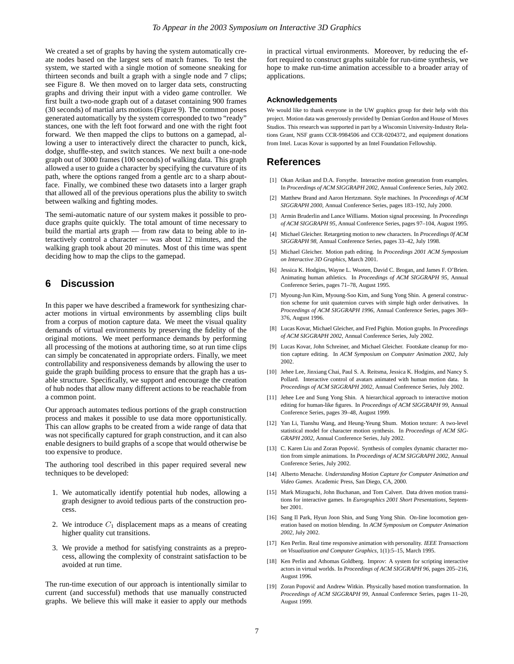We created a set of graphs by having the system automatically create nodes based on the largest sets of match frames. To test the system, we started with a single motion of someone sneaking for thirteen seconds and built a graph with a single node and 7 clips; see Figure 8. We then moved on to larger data sets, constructing graphs and driving their input with a video game controller. We first built a two-node graph out of a dataset containing 900 frames (30 seconds) of martial arts motions (Figure 9). The common poses generated automatically by the system corresponded to two "ready" stances, one with the left foot forward and one with the right foot forward. We then mapped the clips to buttons on a gamepad, allowing a user to interactively direct the character to punch, kick, dodge, shuffle-step, and switch stances. We next built a one-node graph out of 3000 frames (100 seconds) of walking data. This graph allowed a user to guide a character by specifying the curvature of its path, where the options ranged from a gentle arc to a sharp aboutface. Finally, we combined these two datasets into a larger graph that allowed all of the previous operations plus the ability to switch between walking and fighting modes.

The semi-automatic nature of our system makes it possible to produce graphs quite quickly. The total amount of time necessary to build the martial arts graph — from raw data to being able to interactively control a character — was about 12 minutes, and the walking graph took about 20 minutes. Most of this time was spent deciding how to map the clips to the gamepad.

## **6 Discussion**

In this paper we have described a framework for synthesizing character motions in virtual environments by assembling clips built from a corpus of motion capture data. We meet the visual quality demands of virtual environments by preserving the fidelity of the original motions. We meet performance demands by performing all processing of the motions at authoring time, so at run time clips can simply be concatenated in appropriate orders. Finally, we meet controllability and responsiveness demands by allowing the user to guide the graph building process to ensure that the graph has a usable structure. Specifically, we support and encourage the creation of hub nodes that allow many different actions to be reachable from a common point.

Our approach automates tedious portions of the graph construction process and makes it possible to use data more opportunistically. This can allow graphs to be created from a wide range of data that was not specifically captured for graph construction, and it can also enable designers to build graphs of a scope that would otherwise be too expensive to produce.

The authoring tool described in this paper required several new techniques to be developed:

- 1. We automatically identify potential hub nodes, allowing a graph designer to avoid tedious parts of the construction process.
- 2. We introduce  $C_1$  displacement maps as a means of creating higher quality cut transitions.
- 3. We provide a method for satisfying constraints as a preprocess, allowing the complexity of constraint satisfaction to be avoided at run time.

The run-time execution of our approach is intentionally similar to current (and successful) methods that use manually constructed graphs. We believe this will make it easier to apply our methods

in practical virtual environments. Moreover, by reducing the effort required to construct graphs suitable for run-time synthesis, we hope to make run-time animation accessible to a broader array of applications.

#### **Acknowledgements**

We would like to thank everyone in the UW graphics group for their help with this project. Motion data was generously provided by Demian Gordon and House of Moves Studios. This research was supported in part by a Wisconsin University-Industry Relations Grant, NSF grants CCR-9984506 and CCR-0204372, and equipment donations from Intel. Lucas Kovar is supported by an Intel Foundation Fellowship.

### **References**

- [1] Okan Arikan and D.A. Forsythe. Interactive motion generation from examples. In *Proceedings of ACM SIGGRAPH 2002*, Annual Conference Series, July 2002.
- [2] Matthew Brand and Aaron Hertzmann. Style machines. In *Proceedings of ACM SIGGRAPH 2000*, Annual Conference Series, pages 183–192, July 2000.
- [3] Armin Bruderlin and Lance Williams. Motion signal processing. In *Proceedings of ACM SIGGRAPH 95*, Annual Conference Series, pages 97–104, August 1995.
- [4] Michael Gleicher. Retargeting motion to new characters. In *Proceedings 0f ACM SIGGRAPH 98*, Annual Conference Series, pages 33–42, July 1998.
- [5] Michael Gleicher. Motion path editing. In *Proceedings 2001 ACM Symposium on Interactive 3D Graphics*, March 2001.
- Jessica K. Hodgins, Wayne L. Wooten, David C. Brogan, and James F. O'Brien. Animating human athletics. In *Proceedings of ACM SIGGRAPH 95*, Annual Conference Series, pages 71–78, August 1995.
- [7] Myoung-Jun Kim, Myoung-Soo Kim, and Sung Yong Shin. A general construction scheme for unit quaternion curves with simple high order derivatives. In *Proceedings of ACM SIGGRAPH 1996*, Annual Conference Series, pages 369– 376, August 1996.
- [8] Lucas Kovar, Michael Gleicher, and Fred Pighin. Motion graphs. In *Proceedings of ACM SIGGRAPH 2002*, Annual Conference Series, July 2002.
- [9] Lucas Kovar, John Schreiner, and Michael Gleicher. Footskate cleanup for motion capture editing. In *ACM Symposium on Computer Animation 2002*, July 2002.
- [10] Jehee Lee, Jinxiang Chai, Paul S. A. Reitsma, Jessica K. Hodgins, and Nancy S. Pollard. Interactive control of avatars animated with human motion data. In *Proceedings of ACM SIGGRAPH 2002*, Annual Conference Series, July 2002.
- [11] Jehee Lee and Sung Yong Shin. A hierarchical approach to interactive motion editing for human-like figures. In *Proceedings of ACM SIGGRAPH 99*, Annual Conference Series, pages 39–48, August 1999.
- [12] Yan Li, Tianshu Wang, and Heung-Yeung Shum. Motion texture: A two-level statistical model for character motion synthesis. In *Proceedings of ACM SIG-GRAPH 2002*, Annual Conference Series, July 2002.
- [13] C. Karen Liu and Zoran Popović. Synthesis of complex dynamic character motion from simple animations. In *Proceedings of ACM SIGGRAPH 2002*, Annual Conference Series, July 2002.
- [14] Alberto Menache. *Understanding Motion Capture for Computer Animation and Video Games*. Academic Press, San Diego, CA, 2000.
- [15] Mark Mizuguchi, John Buchanan, and Tom Calvert. Data driven motion transitions for interactive games. In *Eurographics 2001 Short Presentations*, September 2001.
- [16] Sang Il Park, Hyun Joon Shin, and Sung Yong Shin. On-line locomotion generation based on motion blending. In *ACM Symposium on Computer Animation 2002*, July 2002.
- [17] Ken Perlin. Real time responsive animation with personality. *IEEE Transactions on Visualization and Computer Graphics*, 1(1):5–15, March 1995.
- [18] Ken Perlin and Athomas Goldberg. Improv: A system for scripting interactive actors in virtual worlds. In *Proceedings of ACM SIGGRAPH 96*, pages 205–216, August 1996.
- [19] Zoran Popović and Andrew Witkin. Physically based motion transformation. In *Proceedings of ACM SIGGRAPH 99*, Annual Conference Series, pages 11–20, August 1999.